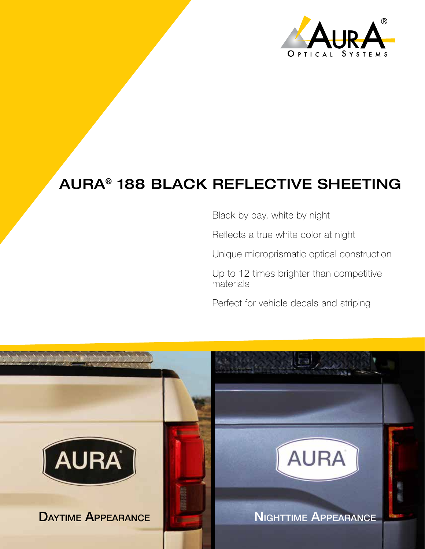

## AURA® 188 BLACK REFLECTIVE SHEETING

Black by day, white by night

Reflects a true white color at night

Unique microprismatic optical construction

Up to 12 times brighter than competitive materials

Perfect for vehicle decals and striping